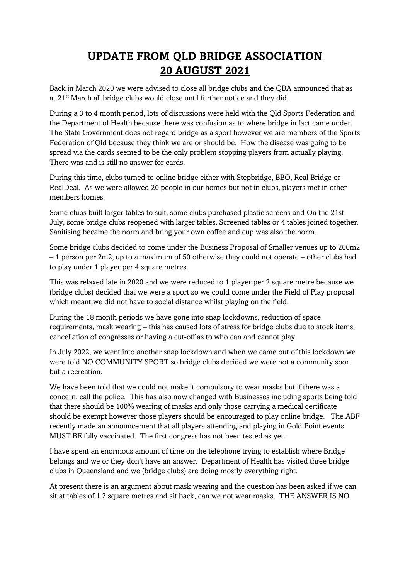## **UPDATE FROM QLD BRIDGE ASSOCIATION 20 AUGUST 2021**

Back in March 2020 we were advised to close all bridge clubs and the QBA announced that as at 21st March all bridge clubs would close until further notice and they did.

During a 3 to 4 month period, lots of discussions were held with the Qld Sports Federation and the Department of Health because there was confusion as to where bridge in fact came under. The State Government does not regard bridge as a sport however we are members of the Sports Federation of Qld because they think we are or should be. How the disease was going to be spread via the cards seemed to be the only problem stopping players from actually playing. There was and is still no answer for cards.

During this time, clubs turned to online bridge either with Stepbridge, BBO, Real Bridge or RealDeal. As we were allowed 20 people in our homes but not in clubs, players met in other members homes.

Some clubs built larger tables to suit, some clubs purchased plastic screens and On the 21st July, some bridge clubs reopened with larger tables, Screened tables or 4 tables joined together. Sanitising became the norm and bring your own coffee and cup was also the norm.

Some bridge clubs decided to come under the Business Proposal of Smaller venues up to 200m2 – 1 person per 2m2, up to a maximum of 50 otherwise they could not operate – other clubs had to play under 1 player per 4 square metres.

This was relaxed late in 2020 and we were reduced to 1 player per 2 square metre because we (bridge clubs) decided that we were a sport so we could come under the Field of Play proposal which meant we did not have to social distance whilst playing on the field.

During the 18 month periods we have gone into snap lockdowns, reduction of space requirements, mask wearing – this has caused lots of stress for bridge clubs due to stock items, cancellation of congresses or having a cut-off as to who can and cannot play.

In July 2022, we went into another snap lockdown and when we came out of this lockdown we were told NO COMMUNITY SPORT so bridge clubs decided we were not a community sport but a recreation.

We have been told that we could not make it compulsory to wear masks but if there was a concern, call the police. This has also now changed with Businesses including sports being told that there should be 100% wearing of masks and only those carrying a medical certificate should be exempt however those players should be encouraged to play online bridge. The ABF recently made an announcement that all players attending and playing in Gold Point events MUST BE fully vaccinated. The first congress has not been tested as yet.

I have spent an enormous amount of time on the telephone trying to establish where Bridge belongs and we or they don't have an answer. Department of Health has visited three bridge clubs in Queensland and we (bridge clubs) are doing mostly everything right.

At present there is an argument about mask wearing and the question has been asked if we can sit at tables of 1.2 square metres and sit back, can we not wear masks. THE ANSWER IS NO.